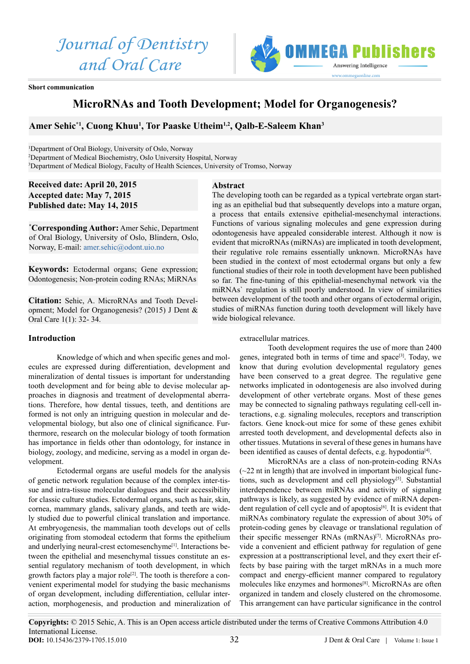*Journal of Dentistry and Oral Care*



**Short communication**

# **MicroRNAs and Tooth Development; Model for Organogenesis?**

### Amer Sehic\*<sup>1</sup>, Cuong Khuu<sup>1</sup>, Tor Paaske Utheim<sup>1,2</sup>, Qalb-E-Saleem Khan<sup>3</sup>

<sup>1</sup>Department of Oral Biology, University of Oslo, Norway 2 Department of Medical Biochemistry, Oslo University Hospital, Norway 3 Department of Medical Biology, Faculty of Health Sciences, University of Tromso, Norway

## **Received date: April 20, 2015 Accepted date: May 7, 2015 Published date: May 14, 2015**

**\* Corresponding Author:** Amer Sehic, Department of Oral Biology, University of Oslo, Blindern, Oslo, Norway, E-mail: [amer.sehic@odont.uio.no](mailto:amer.sehic%40odont.uio.no?subject=)

**Keywords:** Ectodermal organs; Gene expression; Odontogenesis; Non-protein coding RNAs; MiRNAs

**Citation:** Sehic, A. MicroRNAs and Tooth Development; Model for Organogenesis? (2015) J Dent & Oral Care 1(1): 32- 34.

#### **Introduction**

Knowledge of which and when specific genes and molecules are expressed during differentiation, development and mineralization of dental tissues is important for understanding tooth development and for being able to devise molecular approaches in diagnosis and treatment of developmental aberrations. Therefore, how dental tissues, teeth, and dentitions are formed is not only an intriguing question in molecular and developmental biology, but also one of clinical significance. Furthermore, research on the molecular biology of tooth formation has importance in fields other than odontology, for instance in biology, zoology, and medicine, serving as a model in organ development.

Ectodermal organs are useful models for the analysis of genetic network regulation because of the complex inter-tissue and intra-tissue molecular dialogues and their accessibility for classic culture studies. Ectodermal organs, such as hair, skin, cornea, mammary glands, salivary glands, and teeth are widely studied due to powerful clinical translation and importance. At embryogenesis, the mammalian tooth develops out of cells originating from stomodeal ectoderm that forms the epithelium and underlying neural-crest ectomesenchyme<sup>[1]</sup>. Interactions between the epithelial and mesenchymal tissues constitute an essential regulatory mechanism of tooth development, in which growth factors play a major role<sup>[2]</sup>. The tooth is therefore a convenient experimental model for studying the basic mechanisms of organ development, including differentiation, cellular interaction, morphogenesis, and production and mineralization of

# **Abstract**

The developing tooth can be regarded as a typical vertebrate organ starting as an epithelial bud that subsequently develops into a mature organ, a process that entails extensive epithelial-mesenchymal interactions. Functions of various signaling molecules and gene expression during odontogenesis have appealed considerable interest. Although it now is evident that microRNAs (miRNAs) are implicated in tooth development, their regulative role remains essentially unknown. MicroRNAs have been studied in the context of most ectodermal organs but only a few functional studies of their role in tooth development have been published so far. The fine-tuning of this epithelial-mesenchymal network via the miRNAs` regulation is still poorly understood. In view of similarities between development of the tooth and other organs of ectodermal origin, studies of miRNAs function during tooth development will likely have wide biological relevance.

### extracellular matrices.

Tooth development requires the use of more than 2400 genes, integrated both in terms of time and space<sup>[3]</sup>. Today, we know that during evolution developmental regulatory genes have been conserved to a great degree. The regulative gene networks implicated in odontogenesis are also involved during development of other vertebrate organs. Most of these genes may be connected to signaling pathways regulating cell-cell interactions, e.g. signaling molecules, receptors and transcription factors. Gene knock-out mice for some of these genes exhibit arrested tooth development, and developmental defects also in other tissues. Mutations in several of these genes in humans have been identified as causes of dental defects, e.g. hypodontia<sup>[4]</sup>.

MicroRNAs are a class of non-protein-coding RNAs  $(\sim 22$  nt in length) that are involved in important biological functions, such as development and cell physiology<sup>[5]</sup>. Substantial interdependence between miRNAs and activity of signaling pathways is likely, as suggested by evidence of miRNA dependent regulation of cell cycle and of apoptosis<sup>[6]</sup>. It is evident that miRNAs combinatory regulate the expression of about 30% of protein-coding genes by cleavage or translational regulation of their specific messenger RNAs (mRNAs)<sup>[7]</sup>. MicroRNAs provide a convenient and efficient pathway for regulation of gene expression at a posttranscriptional level, and they exert their effects by base pairing with the target mRNAs in a much more compact and energy-efficient manner compared to regulatory molecules like enzymes and hormones[8]. MicroRNAs are often organized in tandem and closely clustered on the chromosome. This arrangement can have particular significance in the control

**Copyrights:** © 2015 Sehic, A. This is an Open access article distributed under the terms of Creative Commons Attribution 4.0 International License. 32 **DOI:** [10.15436/2379-1705.15.0](http://www.dx.doi.org/10.15436/2379-1705.15.010)10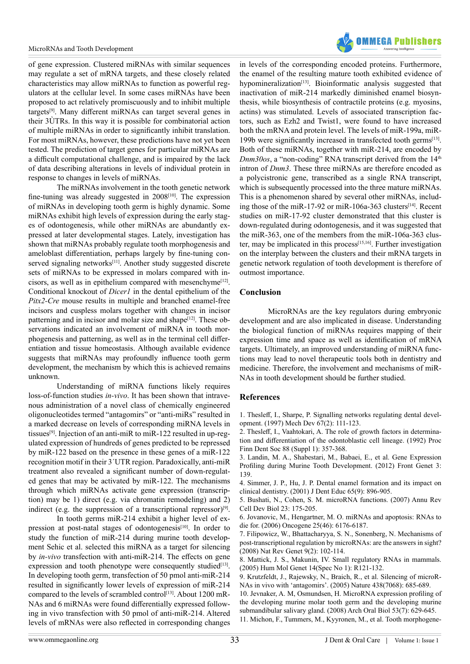

of gene expression. Clustered miRNAs with similar sequences may regulate a set of mRNA targets, and these closely related characteristics may allow miRNAs to function as powerful regulators at the cellular level. In some cases miRNAs have been proposed to act relatively promiscuously and to inhibit multiple targets[9]. Many different miRNAs can target several genes in their 3ÙTRs. In this way it is possible for combinatorial action of multiple miRNAs in order to significantly inhibit translation. For most miRNAs, however, these predictions have not yet been tested. The prediction of target genes for particular miRNAs are a difficult computational challenge, and is impaired by the lack of data describing alterations in levels of individual protein in response to changes in levels of miRNAs.

The miRNAs involvement in the tooth genetic network fine-tuning was already suggested in  $2008$ <sup>[10]</sup>. The expression of miRNAs in developing tooth germ is highly dynamic. Some miRNAs exhibit high levels of expression during the early stages of odontogenesis, while other miRNAs are abundantly expressed at later developmental stages. Lately, investigation has shown that miRNAs probably regulate tooth morphogenesis and ameloblast differentiation, perhaps largely by fine-tuning conserved signaling networks<sup>[11]</sup>. Another study suggested discrete sets of miRNAs to be expressed in molars compared with incisors, as well as in epithelium compared with mesenchyme $[12]$ . Conditional knockout of *Dicer1* in the dental epithelium of the *Pitx2-Cre* mouse results in multiple and branched enamel-free incisors and cuspless molars together with changes in incisor patterning and in incisor and molar size and shape<sup>[12]</sup>. These observations indicated an involvement of miRNA in tooth morphogenesis and patterning, as well as in the terminal cell differentiation and tissue homeostasis. Although available evidence suggests that miRNAs may profoundly influence tooth germ development, the mechanism by which this is achieved remains unknown.

Understanding of miRNA functions likely requires loss-of-function studies *in-vivo*. It has been shown that intravenous administration of a novel class of chemically engineered oligonucleotides termed "antagomirs" or "anti-miRs" resulted in a marked decrease on levels of corresponding miRNA levels in tissues[9]. Injection of an anti-miR to miR-122 resulted in up-regulated expression of hundreds of genes predicted to be repressed by miR-122 based on the presence in these genes of a miR-122 recognition motif in their 3´UTR region. Paradoxically, anti-miR treatment also revealed a significant number of down-regulated genes that may be activated by miR-122. The mechanisms through which miRNAs activate gene expression (transcription) may be 1) direct (e.g. via chromatin remodeling) and 2) indirect (e.g. the suppression of a transcriptional repressor) $[9]$ .

In tooth germs miR-214 exhibit a higher level of expression at post-natal stages of odontogenesis<sup>[10]</sup>. In order to study the function of miR-214 during murine tooth development Sehic et al. selected this miRNA as a target for silencing by *in-vivo* transfection with anti-miR-214. The effects on gene expression and tooth phenotype were consequently studied $[13]$ . In developing tooth germ, transfection of 50 pmol anti-miR-214 resulted in significantly lower levels of expression of miR-214 compared to the levels of scrambled control<sup>[13]</sup>. About 1200 mR-NAs and 6 miRNAs were found differentially expressed following in vivo transfection with 50 pmol of anti-miR-214. Altered levels of mRNAs were also reflected in corresponding changes

in levels of the corresponding encoded proteins. Furthermore, the enamel of the resulting mature tooth exhibited evidence of hypomineralization<sup>[13]</sup>. Bioinformatic analysis suggested that inactivation of miR-214 markedly diminished enamel biosynthesis, while biosynthesis of contractile proteins (e.g. myosins, actins) was stimulated. Levels of associated transcription factors, such as Ezh2 and Twist1, were found to have increased both the mRNA and protein level. The levels of miR-199a, miR-199b were significantly increased in transfected tooth germs<sup>[13]</sup>. Both of these miRNAs, together with miR-214, are encoded by *Dnm30os*, a "non-coding" RNA transcript derived from the 14<sup>th</sup> intron of *Dnm3*. These three miRNAs are therefore encoded as a polycistronic gene, transcribed as a single RNA transcript, which is subsequently processed into the three mature miRNAs. This is a phenomenon shared by several other miRNAs, including those of the miR-17-92 or miR-106a-363 clusters<sup>[14]</sup>. Recent studies on miR-17-92 cluster demonstrated that this cluster is down-regulated during odontogenesis, and it was suggested that the miR-363, one of the members from the miR-106a-363 cluster, may be implicated in this process<sup>[15,16]</sup>. Further investigation on the interplay between the clusters and their mRNA targets in genetic network regulation of tooth development is therefore of outmost importance.

### **Conclusion**

MicroRNAs are the key regulators during embryonic development and are also implicated in disease. Understanding the biological function of miRNAs requires mapping of their expression time and space as well as identification of mRNA targets. Ultimately, an improved understanding of miRNA functions may lead to novel therapeutic tools both in dentistry and medicine. Therefore, the involvement and mechanisms of miR-NAs in tooth development should be further studied.

### **References**

1. Thesleff, I., Sharpe, P. Signalling networks regulating dental development. (1997) Mech Dev 67(2): 111-123.

2. Thesleff, I., Vaahtokari, A. The role of growth factors in determination and differentiation of the odontoblastic cell lineage. (1992) Proc Finn Dent Soc 88 (Suppl 1): 357-368.

3. Landin, M. A., Shabestari, M., Babaei, E., et al. Gene Expression Profiling during Murine Tooth Development. (2012) Front Genet 3: 139.

4. Simmer, J. P., Hu, J. P. Dental enamel formation and its impact on clinical dentistry. (2001) J Dent Educ 65(9): 896-905.

5. Bushati, N., Cohen, S. M. microRNA functions. (2007) Annu Rev Cell Dev Biol 23: 175-205.

6. Jovanovic, M., Hengartner, M. O. miRNAs and apoptosis: RNAs to die for. (2006) Oncogene 25(46): 6176-6187.

7. Filipowicz, W., Bhattacharyya, S. N., Sonenberg, N. Mechanisms of post-transcriptional regulation by microRNAs: are the answers in sight? (2008) Nat Rev Genet 9(2): 102-114.

8. Mattick, J. S., Makunin, IV. Small regulatory RNAs in mammals. (2005) Hum Mol Genet 14(Spec No 1): R121-132.

9. Krutzfeldt, J., Rajewsky, N., Braich, R., et al. Silencing of microR-NAs in vivo with 'antagomirs'. (2005) Nature 438(7068): 685-689.

10. Jevnaker, A. M, Osmundsen, H. MicroRNA expression profiling of the developing murine molar tooth germ and the developing murine submandibular salivary gland. (2008) Arch Oral Biol 53(7): 629-645. 11. Michon, F., Tummers, M., Kyyronen, M., et al. Tooth morphogene-